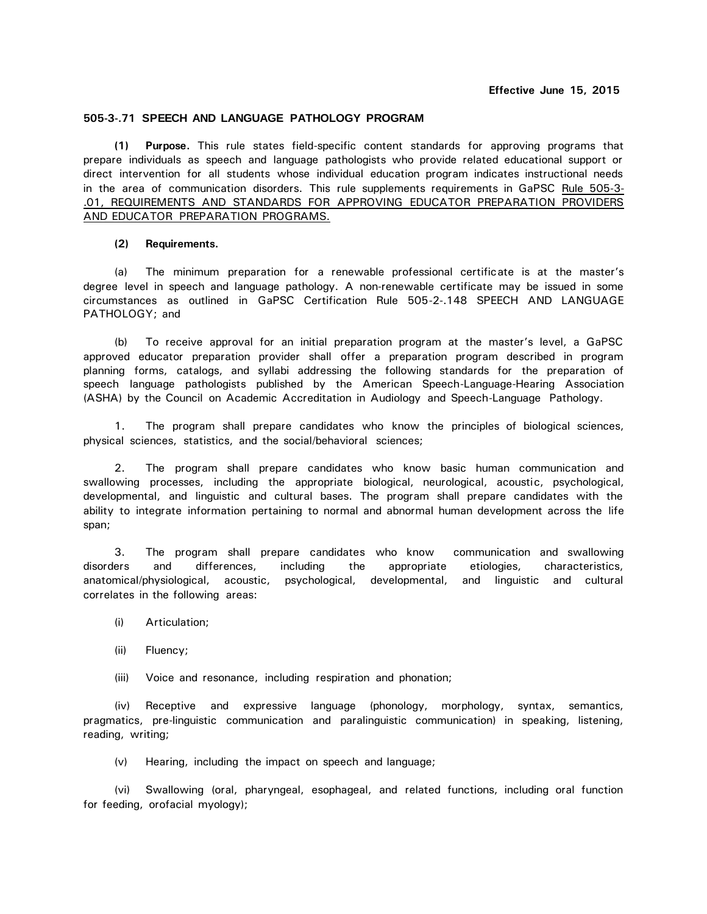## **505-3-.71 SPEECH AND LANGUAGE PATHOLOGY PROGRAM**

**(1) Purpose.** This rule states field-specific content standards for approving programs that prepare individuals as speech and language pathologists who provide related educational support or direct intervention for all students whose individual education program indicates instructional needs in the area of communication disorders. This rule supplements requirements in GaPSC Rule 505-3- .01, REQUIREMENTS AND STANDARDS FOR APPROVING EDUCATOR PREPARATION PROVIDERS AND EDUCATOR PREPARATION PROGRAMS.

## **(2) Requirements.**

(a) The minimum preparation for a renewable professional certificate is at the master's degree level in speech and language pathology. A non-renewable certificate may be issued in some circumstances as outlined in GaPSC Certification Rule 505-2-.148 SPEECH AND LANGUAGE PATHOLOGY; and

(b) To receive approval for an initial preparation program at the master's level, a GaPSC approved educator preparation provider shall offer a preparation program described in program planning forms, catalogs, and syllabi addressing the following standards for the preparation of speech language pathologists published by the American Speech-Language-Hearing Association (ASHA) by the Council on Academic Accreditation in Audiology and Speech-Language Pathology.

1. The program shall prepare candidates who know the principles of biological sciences, physical sciences, statistics, and the social/behavioral sciences;

2. The program shall prepare candidates who know basic human communication and swallowing processes, including the appropriate biological, neurological, acoustic, psychological, developmental, and linguistic and cultural bases. The program shall prepare candidates with the ability to integrate information pertaining to normal and abnormal human development across the life span;

3. The program shall prepare candidates who know communication and swallowing disorders and differences, including the appropriate etiologies, characteristics, anatomical/physiological, acoustic, psychological, developmental, and linguistic and cultural correlates in the following areas:

- (i) Articulation;
- (ii) Fluency;
- (iii) Voice and resonance, including respiration and phonation;

(iv) Receptive and expressive language (phonology, morphology, syntax, semantics, pragmatics, pre-linguistic communication and paralinguistic communication) in speaking, listening, reading, writing;

(v) Hearing, including the impact on speech and language;

(vi) Swallowing (oral, pharyngeal, esophageal, and related functions, including oral function for feeding, orofacial myology);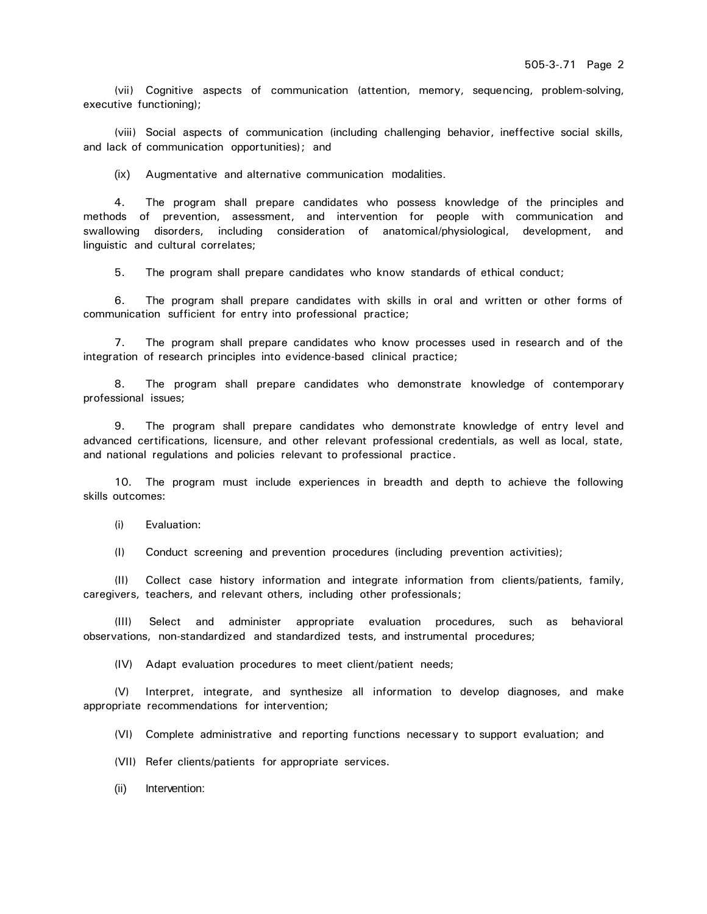(vii) Cognitive aspects of communication (attention, memory, sequencing, problem-solving, executive functioning);

(viii) Social aspects of communication (including challenging behavior, ineffective social skills, and lack of communication opportunities); and

(ix) Augmentative and alternative communication modalities.

4. The program shall prepare candidates who possess knowledge of the principles and methods of prevention, assessment, and intervention for people with communication and swallowing disorders, including consideration of anatomical/physiological, development, and linguistic and cultural correlates;

5. The program shall prepare candidates who know standards of ethical conduct;

6. The program shall prepare candidates with skills in oral and written or other forms of communication sufficient for entry into professional practice;

7. The program shall prepare candidates who know processes used in research and of the integration of research principles into evidence-based clinical practice;

8. The program shall prepare candidates who demonstrate knowledge of contemporary professional issues;

9. The program shall prepare candidates who demonstrate knowledge of entry level and advanced certifications, licensure, and other relevant professional credentials, as well as local, state, and national regulations and policies relevant to professional practice.

10. The program must include experiences in breadth and depth to achieve the following skills outcomes:

(i) Evaluation:

(I) Conduct screening and prevention procedures (including prevention activities);

(II) Collect case history information and integrate information from clients/patients, family, caregivers, teachers, and relevant others, including other professionals;

(III) Select and administer appropriate evaluation procedures, such as behavioral observations, non-standardized and standardized tests, and instrumental procedures;

(IV) Adapt evaluation procedures to meet client/patient needs;

(V) Interpret, integrate, and synthesize all information to develop diagnoses, and make appropriate recommendations for intervention;

(VI) Complete administrative and reporting functions necessary to support evaluation; and

(VII) Refer clients/patients for appropriate services.

(ii) Intervention: